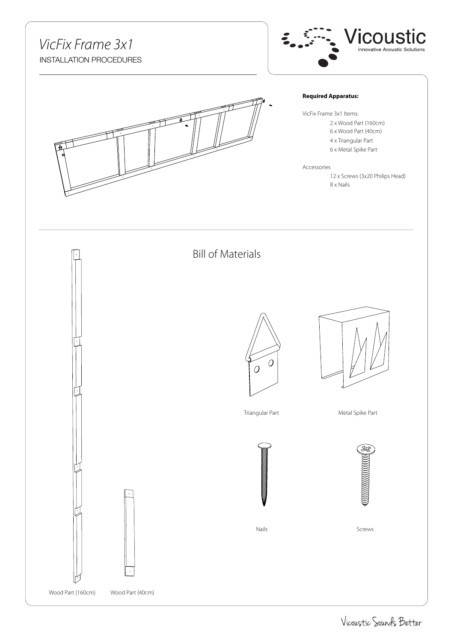#### *VicFix Frame 3x1* INSTALLATION PROCEDURES



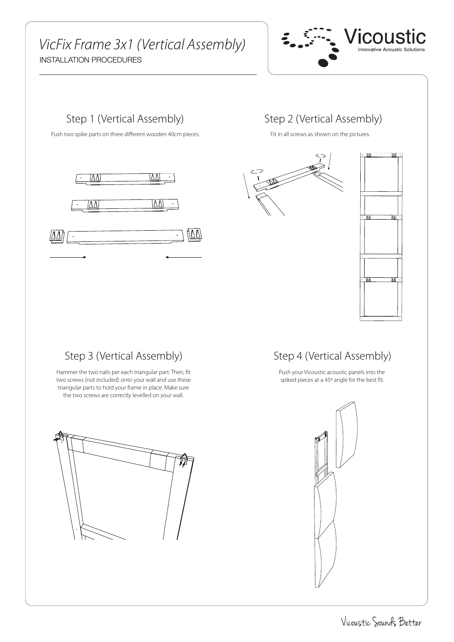# *VicFix Frame 3x1 (Vertical Assembly)*

INSTALLATION PROCEDURES





#### Step 2 (Vertical Assembly)

Fit in all screws as shown on the pictures.





#### Step 3 (Vertical Assembly)

Hammer the two nails per each triangular part. Then, fit two screws (not included) onto your wall and use these triangular parts to hold your frame in place. Make sure the two screws are correctly levelled on your wall.

### Step 4 (Vertical Assembly)

Push your Vicoustic acoustic panels into the spiked pieces at a 45º angle for the best fit.